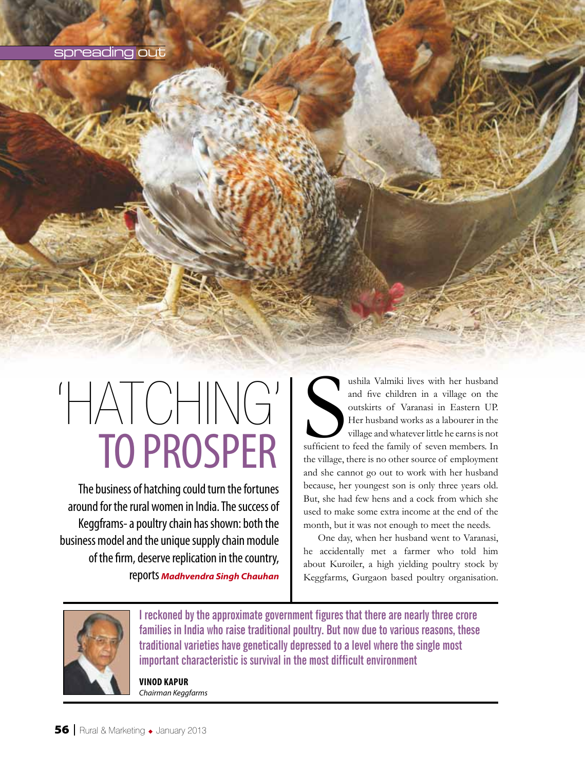# spreading out

# TO PROSPER 'HATCHING'

The business of hatching could turn the fortunes around for the rural women in India. The success of Keggframs- a poultry chain has shown: both the business model and the unique supply chain module of the firm, deserve replication in the country, reports *Madhvendra Singh Chauhan*

Sufficient to ushila Valmiki lives with her husband and five children in a village on the outskirts of Varanasi in Eastern UP. Her husband works as a labourer in the village and whatever little he earns is not sufficient to feed the family of seven members. In the village, there is no other source of employment and she cannot go out to work with her husband because, her youngest son is only three years old. But, she had few hens and a cock from which she used to make some extra income at the end of the month, but it was not enough to meet the needs.

One day, when her husband went to Varanasi, he accidentally met a farmer who told him about Kuroiler, a high yielding poultry stock by Keggfarms, Gurgaon based poultry organisation.



**I reckoned by the approximate government figures that there are nearly three crore families in India who raise traditional poultry. But now due to various reasons, these traditional varieties have genetically depressed to a level where the single most important characteristic is survival in the most difficult environment**

**Vinod Kapur** *Chairman Keggfarms*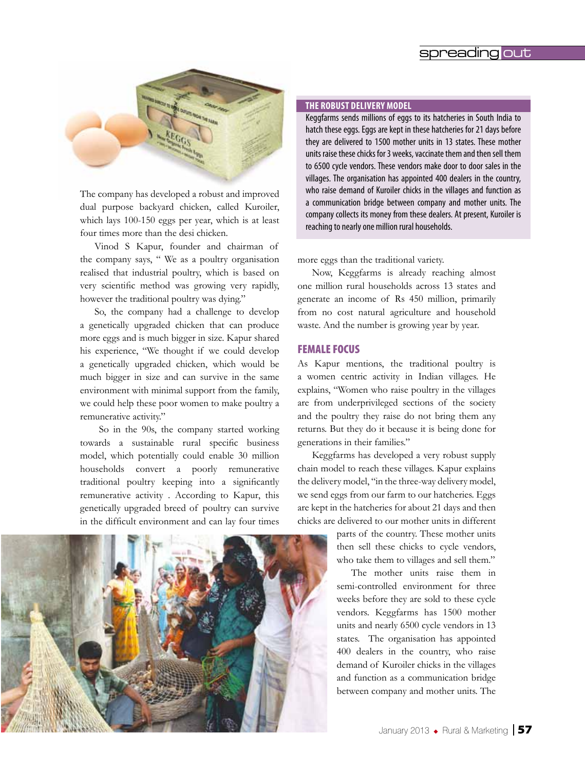# spreading out



The company has developed a robust and improved dual purpose backyard chicken, called Kuroiler, which lays 100-150 eggs per year, which is at least four times more than the desi chicken.

Vinod S Kapur, founder and chairman of the company says, " We as a poultry organisation realised that industrial poultry, which is based on very scientific method was growing very rapidly, however the traditional poultry was dying."

So, the company had a challenge to develop a genetically upgraded chicken that can produce more eggs and is much bigger in size. Kapur shared his experience, "We thought if we could develop a genetically upgraded chicken, which would be much bigger in size and can survive in the same environment with minimal support from the family, we could help these poor women to make poultry a remunerative activity."

 So in the 90s, the company started working towards a sustainable rural specific business model, which potentially could enable 30 million households convert a poorly remunerative traditional poultry keeping into a significantly remunerative activity . According to Kapur, this genetically upgraded breed of poultry can survive in the difficult environment and can lay four times



#### **The Robust delivery model**

Keggfarms sends millions of eggs to its hatcheries in South India to hatch these eggs. Eggs are kept in these hatcheries for 21 days before they are delivered to 1500 mother units in 13 states. These mother units raise these chicks for 3 weeks, vaccinate them and then sell them to 6500 cycle vendors. These vendors make door to door sales in the villages. The organisation has appointed 400 dealers in the country, who raise demand of Kuroiler chicks in the villages and function as a communication bridge between company and mother units. The company collects its money from these dealers. At present, Kuroiler is reaching to nearly one million rural households.

more eggs than the traditional variety.

Now, Keggfarms is already reaching almost one million rural households across 13 states and generate an income of Rs 450 million, primarily from no cost natural agriculture and household waste. And the number is growing year by year.

## FEMALE FOCUS

As Kapur mentions, the traditional poultry is a women centric activity in Indian villages. He explains, "Women who raise poultry in the villages are from underprivileged sections of the society and the poultry they raise do not bring them any returns. But they do it because it is being done for generations in their families."

Keggfarms has developed a very robust supply chain model to reach these villages. Kapur explains the delivery model, "in the three-way delivery model, we send eggs from our farm to our hatcheries. Eggs are kept in the hatcheries for about 21 days and then chicks are delivered to our mother units in different

> parts of the country. These mother units then sell these chicks to cycle vendors, who take them to villages and sell them."

> The mother units raise them in semi-controlled environment for three weeks before they are sold to these cycle vendors. Keggfarms has 1500 mother units and nearly 6500 cycle vendors in 13 states. The organisation has appointed 400 dealers in the country, who raise demand of Kuroiler chicks in the villages and function as a communication bridge between company and mother units. The